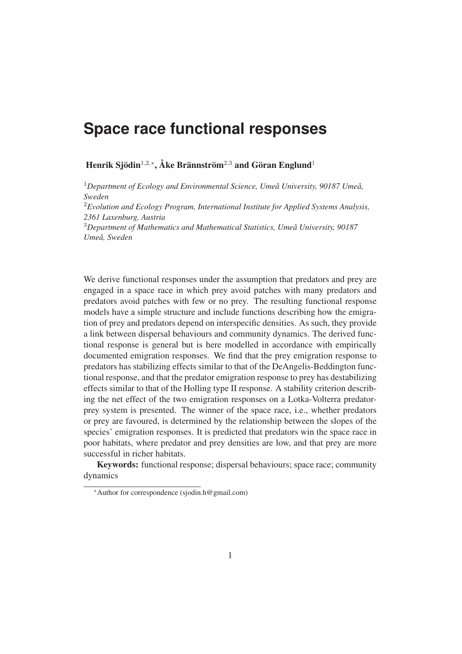## **Space race functional responses**

Henrik Sjödin<sup>1,2,∗</sup>, Åke Brännström<sup>2,3</sup> and Göran Englund<sup>1</sup>

<sup>1</sup>*Department of Ecology and Environmental Science, Umeå University, 90187 Umeå, Sweden*

<sup>2</sup>*Evolution and Ecology Program, International Institute for Applied Systems Analysis, 2361 Laxenburg, Austria*

<sup>3</sup>*Department of Mathematics and Mathematical Statistics, Umeå University, 90187 Umeå, Sweden*

We derive functional responses under the assumption that predators and prey are engaged in a space race in which prey avoid patches with many predators and predators avoid patches with few or no prey. The resulting functional response models have a simple structure and include functions describing how the emigration of prey and predators depend on interspecific densities. As such, they provide a link between dispersal behaviours and community dynamics. The derived functional response is general but is here modelled in accordance with empirically documented emigration responses. We find that the prey emigration response to predators has stabilizing effects similar to that of the DeAngelis-Beddington functional response, and that the predator emigration response to prey has destabilizing effects similar to that of the Holling type II response. A stability criterion describing the net effect of the two emigration responses on a Lotka-Volterra predatorprey system is presented. The winner of the space race, i.e., whether predators or prey are favoured, is determined by the relationship between the slopes of the species' emigration responses. It is predicted that predators win the space race in poor habitats, where predator and prey densities are low, and that prey are more successful in richer habitats.

Keywords: functional response; dispersal behaviours; space race; community dynamics

<sup>∗</sup>Author for correspondence (sjodin.h@gmail.com)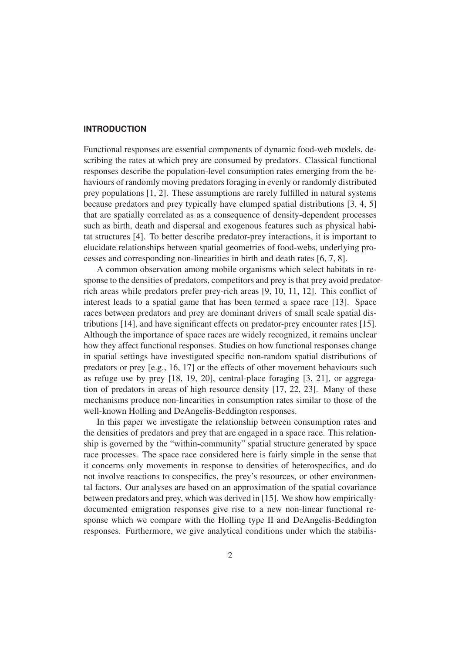#### **INTRODUCTION**

Functional responses are essential components of dynamic food-web models, describing the rates at which prey are consumed by predators. Classical functional responses describe the population-level consumption rates emerging from the behaviours of randomly moving predators foraging in evenly or randomly distributed prey populations [1, 2]. These assumptions are rarely fulfilled in natural systems because predators and prey typically have clumped spatial distributions [3, 4, 5] that are spatially correlated as as a consequence of density-dependent processes such as birth, death and dispersal and exogenous features such as physical habitat structures [4]. To better describe predator-prey interactions, it is important to elucidate relationships between spatial geometries of food-webs, underlying processes and corresponding non-linearities in birth and death rates [6, 7, 8].

A common observation among mobile organisms which select habitats in response to the densities of predators, competitors and prey is that prey avoid predatorrich areas while predators prefer prey-rich areas [9, 10, 11, 12]. This conflict of interest leads to a spatial game that has been termed a space race [13]. Space races between predators and prey are dominant drivers of small scale spatial distributions [14], and have significant effects on predator-prey encounter rates [15]. Although the importance of space races are widely recognized, it remains unclear how they affect functional responses. Studies on how functional responses change in spatial settings have investigated specific non-random spatial distributions of predators or prey [e.g., 16, 17] or the effects of other movement behaviours such as refuge use by prey [18, 19, 20], central-place foraging [3, 21], or aggregation of predators in areas of high resource density [17, 22, 23]. Many of these mechanisms produce non-linearities in consumption rates similar to those of the well-known Holling and DeAngelis-Beddington responses.

In this paper we investigate the relationship between consumption rates and the densities of predators and prey that are engaged in a space race. This relationship is governed by the "within-community" spatial structure generated by space race processes. The space race considered here is fairly simple in the sense that it concerns only movements in response to densities of heterospecifics, and do not involve reactions to conspecifics, the prey's resources, or other environmental factors. Our analyses are based on an approximation of the spatial covariance between predators and prey, which was derived in [15]. We show how empiricallydocumented emigration responses give rise to a new non-linear functional response which we compare with the Holling type II and DeAngelis-Beddington responses. Furthermore, we give analytical conditions under which the stabilis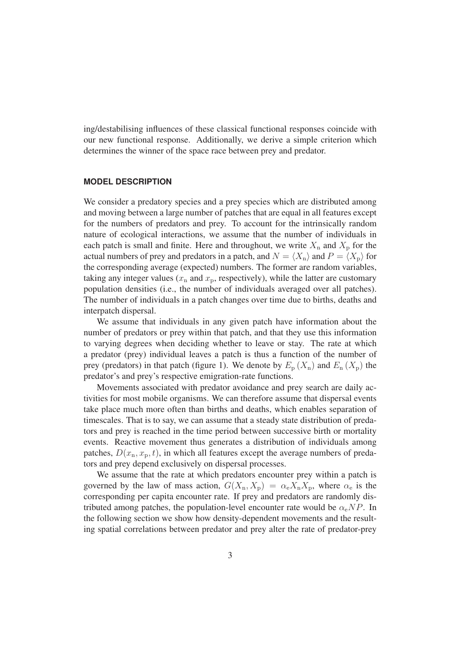ing/destabilising influences of these classical functional responses coincide with our new functional response. Additionally, we derive a simple criterion which determines the winner of the space race between prey and predator.

#### **MODEL DESCRIPTION**

We consider a predatory species and a prey species which are distributed among and moving between a large number of patches that are equal in all features except for the numbers of predators and prey. To account for the intrinsically random nature of ecological interactions, we assume that the number of individuals in each patch is small and finite. Here and throughout, we write  $X_n$  and  $X_p$  for the actual numbers of prey and predators in a patch, and  $N = \langle X_{\rm n} \rangle$  and  $P = \langle X_{\rm p} \rangle$  for<br>the corresponding average (expected) numbers. The former are random variables the corresponding average (expected) numbers. The former are random variables, taking any integer values ( $x_n$  and  $x_p$ , respectively), while the latter are customary population densities (i.e., the number of individuals averaged over all patches). The number of individuals in a patch changes over time due to births, deaths and interpatch dispersal.

We assume that individuals in any given patch have information about the number of predators or prey within that patch, and that they use this information to varying degrees when deciding whether to leave or stay. The rate at which a predator (prey) individual leaves a patch is thus a function of the number of prey (predators) in that patch (figure 1). We denote by  $E_p(X_n)$  and  $E_n(X_p)$  the predator's and prey's respective emigration-rate functions.

Movements associated with predator avoidance and prey search are daily activities for most mobile organisms. We can therefore assume that dispersal events take place much more often than births and deaths, which enables separation of timescales. That is to say, we can assume that a steady state distribution of predators and prey is reached in the time period between successive birth or mortality events. Reactive movement thus generates a distribution of individuals among patches,  $D(x_n, x_p, t)$ , in which all features except the average numbers of predators and prey depend exclusively on dispersal processes.

We assume that the rate at which predators encounter prey within a patch is governed by the law of mass action,  $G(X_n, X_p) = \alpha_e X_n X_p$ , where  $\alpha_e$  is the corresponding per capita encounter rate. If prey and predators are randomly distributed among patches, the population-level encounter rate would be  $\alpha_e NP$ . In the following section we show how density-dependent movements and the resulting spatial correlations between predator and prey alter the rate of predator-prey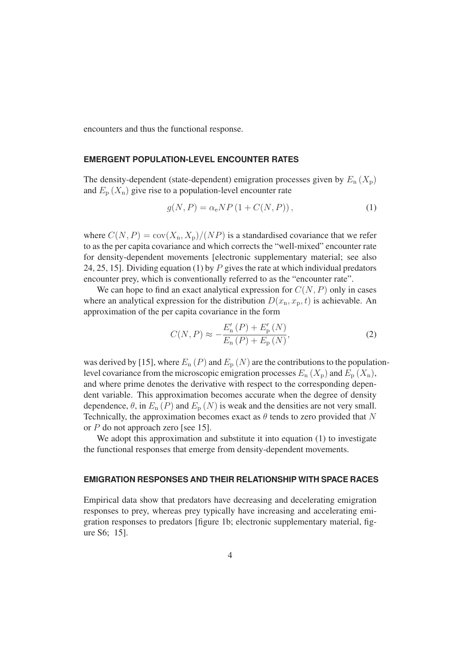encounters and thus the functional response.

#### **EMERGENT POPULATION-LEVEL ENCOUNTER RATES**

The density-dependent (state-dependent) emigration processes given by  $E_n(X_p)$ and  $E_p(X_n)$  give rise to a population-level encounter rate

$$
g(N, P) = \alpha_e NP \left( 1 + C(N, P) \right),\tag{1}
$$

where  $C(N, P) = \text{cov}(X_n, X_p)/(NP)$  is a standardised covariance that we refer to as the per capita covariance and which corrects the "well-mixed" encounter rate for density-dependent movements [electronic supplementary material; see also 24, 25, 15]. Dividing equation (1) by P gives the rate at which individual predators encounter prey, which is conventionally referred to as the "encounter rate".

We can hope to find an exact analytical expression for  $C(N, P)$  only in cases where an analytical expression for the distribution  $D(x_n, x_p, t)$  is achievable. An approximation of the per capita covariance in the form

$$
C(N, P) \approx -\frac{E'_{n}(P) + E'_{p}(N)}{E_{n}(P) + E_{p}(N)},
$$
\n(2)

was derived by [15], where  $E_n(P)$  and  $E_p(N)$  are the contributions to the populationlevel covariance from the microscopic emigration processes  $E_n(X_p)$  and  $E_n(X_n)$ , and where prime denotes the derivative with respect to the corresponding dependent variable. This approximation becomes accurate when the degree of density dependence,  $\theta$ , in  $E_n(P)$  and  $E_p(N)$  is weak and the densities are not very small. Technically, the approximation becomes exact as  $\theta$  tends to zero provided that N or P do not approach zero [see 15].

We adopt this approximation and substitute it into equation (1) to investigate the functional responses that emerge from density-dependent movements.

#### **EMIGRATION RESPONSES AND THEIR RELATIONSHIP WITH SPACE RACES**

Empirical data show that predators have decreasing and decelerating emigration responses to prey, whereas prey typically have increasing and accelerating emigration responses to predators [figure 1b; electronic supplementary material, figure S6; 15].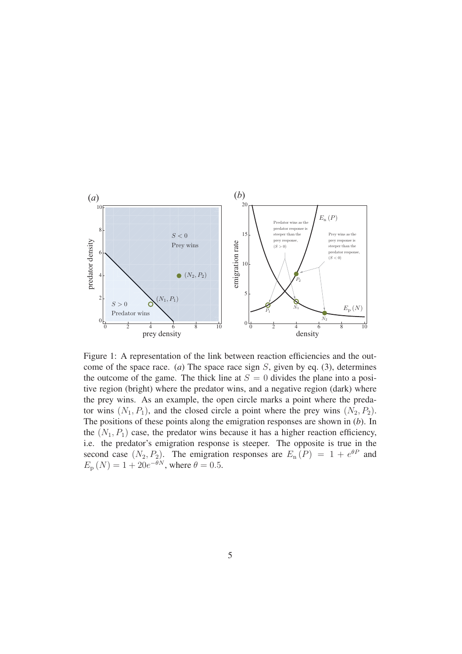

Figure 1: A representation of the link between reaction efficiencies and the outcome of the space race. (*a*) The space race sign S, given by eq. (3), determines the outcome of the game. The thick line at  $S = 0$  divides the plane into a positive region (bright) where the predator wins, and a negative region (dark) where the prey wins. As an example, the open circle marks a point where the predator wins  $(N_1, P_1)$ , and the closed circle a point where the prey wins  $(N_2, P_2)$ . The positions of these points along the emigration responses are shown in (*b*). In the  $(N_1, P_1)$  case, the predator wins because it has a higher reaction efficiency, i.e. the predator's emigration response is steeper. The opposite is true in the second case  $(N_2, P_2)$ . The emigration responses are  $E_n(P) = 1 + e^{\theta P}$  and  $E_n(N) = 1 + 20e^{-\theta N}$  where  $\theta = 0.5$  $E_{\rm p} (N) = 1 + 20e^{-\theta N}$ , where  $\theta = 0.5$ .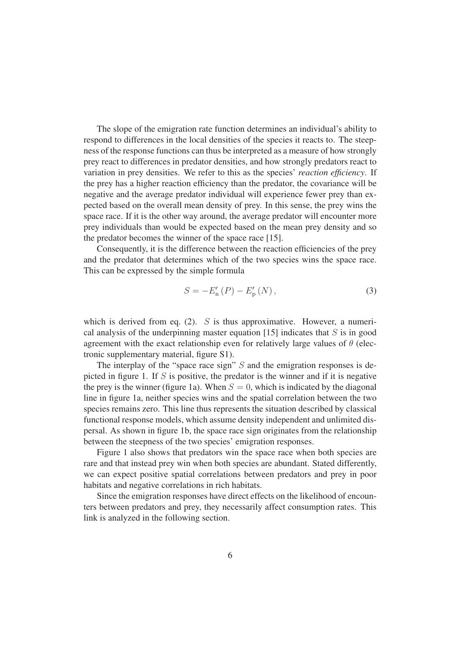The slope of the emigration rate function determines an individual's ability to respond to differences in the local densities of the species it reacts to. The steepness of the response functions can thus be interpreted as a measure of how strongly prey react to differences in predator densities, and how strongly predators react to variation in prey densities. We refer to this as the species' *reaction efficiency*. If the prey has a higher reaction efficiency than the predator, the covariance will be negative and the average predator individual will experience fewer prey than expected based on the overall mean density of prey. In this sense, the prey wins the space race. If it is the other way around, the average predator will encounter more prey individuals than would be expected based on the mean prey density and so the predator becomes the winner of the space race [15].

Consequently, it is the difference between the reaction efficiencies of the prey and the predator that determines which of the two species wins the space race. This can be expressed by the simple formula

$$
S = -E'_{n}(P) - E'_{p}(N),
$$
\n(3)

which is derived from eq. (2).  $S$  is thus approximative. However, a numerical analysis of the underpinning master equation  $[15]$  indicates that S is in good agreement with the exact relationship even for relatively large values of  $\theta$  (electronic supplementary material, figure S1).

The interplay of the "space race sign"  $S$  and the emigration responses is depicted in figure 1. If  $S$  is positive, the predator is the winner and if it is negative the prey is the winner (figure 1a). When  $S = 0$ , which is indicated by the diagonal line in figure 1a, neither species wins and the spatial correlation between the two species remains zero. This line thus represents the situation described by classical functional response models, which assume density independent and unlimited dispersal. As shown in figure 1b, the space race sign originates from the relationship between the steepness of the two species' emigration responses.

Figure 1 also shows that predators win the space race when both species are rare and that instead prey win when both species are abundant. Stated differently, we can expect positive spatial correlations between predators and prey in poor habitats and negative correlations in rich habitats.

Since the emigration responses have direct effects on the likelihood of encounters between predators and prey, they necessarily affect consumption rates. This link is analyzed in the following section.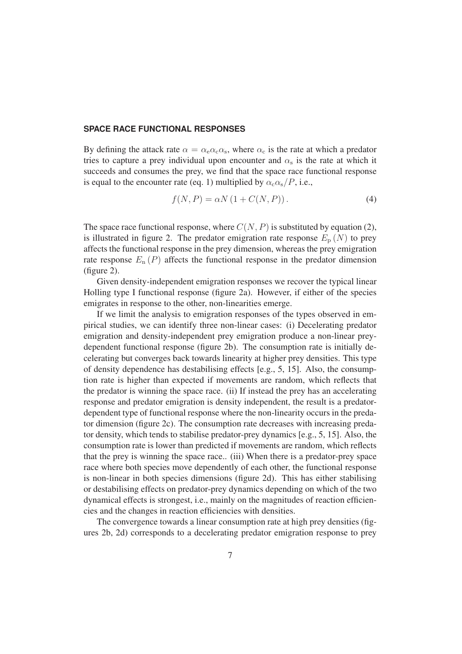#### **SPACE RACE FUNCTIONAL RESPONSES**

By defining the attack rate  $\alpha = \alpha_e \alpha_c \alpha_s$ , where  $\alpha_c$  is the rate at which a predator tries to capture a prey individual upon encounter and  $\alpha_s$  is the rate at which it succeeds and consumes the prey, we find that the space race functional response is equal to the encounter rate (eq. 1) multiplied by  $\alpha_{\rm c} \alpha_{\rm s}/P$ , i.e.,

$$
f(N, P) = \alpha N \left( 1 + C(N, P) \right). \tag{4}
$$

The space race functional response, where  $C(N, P)$  is substituted by equation (2), is illustrated in figure 2. The predator emigration rate response  $E_p(N)$  to prey affects the functional response in the prey dimension, whereas the prey emigration rate response  $E_n(P)$  affects the functional response in the predator dimension (figure 2).

Given density-independent emigration responses we recover the typical linear Holling type I functional response (figure 2a). However, if either of the species emigrates in response to the other, non-linearities emerge.

If we limit the analysis to emigration responses of the types observed in empirical studies, we can identify three non-linear cases: (i) Decelerating predator emigration and density-independent prey emigration produce a non-linear preydependent functional response (figure 2b). The consumption rate is initially decelerating but converges back towards linearity at higher prey densities. This type of density dependence has destabilising effects [e.g., 5, 15]. Also, the consumption rate is higher than expected if movements are random, which reflects that the predator is winning the space race. (ii) If instead the prey has an accelerating response and predator emigration is density independent, the result is a predatordependent type of functional response where the non-linearity occurs in the predator dimension (figure 2c). The consumption rate decreases with increasing predator density, which tends to stabilise predator-prey dynamics [e.g., 5, 15]. Also, the consumption rate is lower than predicted if movements are random, which reflects that the prey is winning the space race.. (iii) When there is a predator-prey space race where both species move dependently of each other, the functional response is non-linear in both species dimensions (figure 2d). This has either stabilising or destabilising effects on predator-prey dynamics depending on which of the two dynamical effects is strongest, i.e., mainly on the magnitudes of reaction efficiencies and the changes in reaction efficiencies with densities.

The convergence towards a linear consumption rate at high prey densities (figures 2b, 2d) corresponds to a decelerating predator emigration response to prey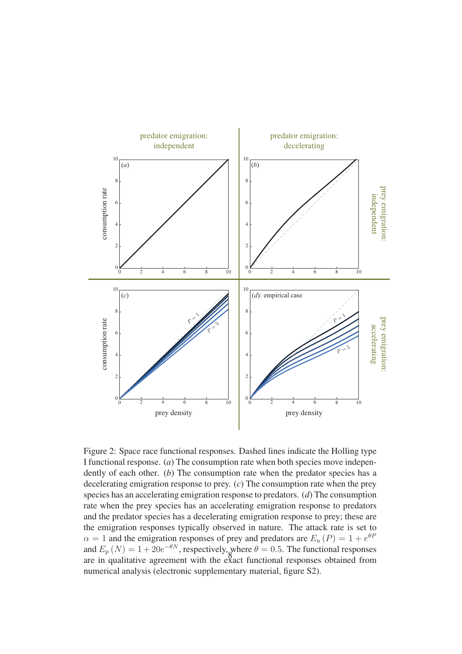

Figure 2: Space race functional responses. Dashed lines indicate the Holling type I functional response. (*a*) The consumption rate when both species move independently of each other. (*b*) The consumption rate when the predator species has a decelerating emigration response to prey. (*c*) The consumption rate when the prey species has an accelerating emigration response to predators. (*d*) The consumption rate when the prey species has an accelerating emigration response to predators and the predator species has a decelerating emigration response to prey; these are the emigration responses typically observed in nature. The attack rate is set to  $\alpha = 1$  and the emigration responses of prey and predators are  $E_n(P) = 1 + e^{\theta P}$ <br>and  $E_n(N) = 1 + 20e^{-\theta N}$  respectively where  $\theta = 0.5$ . The functional responses and  $E_p(N) = 1 + 20e^{-\theta N}$ , respectively, where  $\theta = 0.5$ . The functional responses of the space in qualitative agreement with the exact functional responses obtained from are in qualitative agreement with the exact functional responses obtained from numerical analysis (electronic supplementary material, figure S2).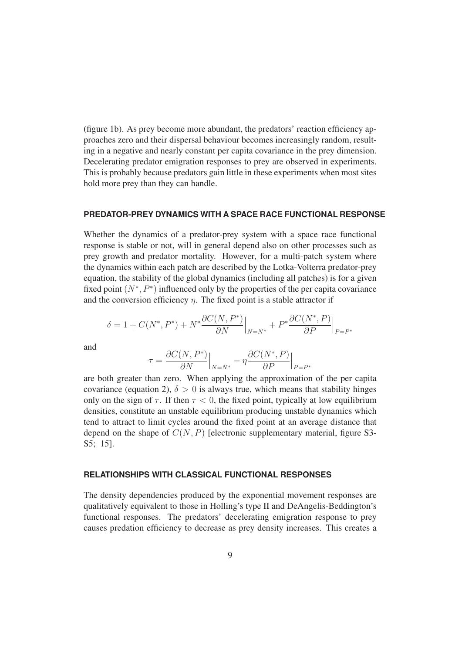(figure 1b). As prey become more abundant, the predators' reaction efficiency approaches zero and their dispersal behaviour becomes increasingly random, resulting in a negative and nearly constant per capita covariance in the prey dimension. Decelerating predator emigration responses to prey are observed in experiments. This is probably because predators gain little in these experiments when most sites hold more prey than they can handle.

#### **PREDATOR-PREY DYNAMICS WITH A SPACE RACE FUNCTIONAL RESPONSE**

Whether the dynamics of a predator-prey system with a space race functional response is stable or not, will in general depend also on other processes such as prey growth and predator mortality. However, for a multi-patch system where the dynamics within each patch are described by the Lotka-Volterra predator-prey equation, the stability of the global dynamics (including all patches) is for a given fixed point  $(N^*, P^*)$  influenced only by the properties of the per capita covariance and the conversion efficiency  $\eta$ . The fixed point is a stable attractor if

$$
\delta = 1 + C(N^*, P^*) + N^* \frac{\partial C(N, P^*)}{\partial N} \Big|_{N = N^*} + P^* \frac{\partial C(N^*, P)}{\partial P} \Big|_{P = P^*}
$$

and

$$
\tau = \frac{\partial C(N, P^*)}{\partial N}\Big|_{N=N^*} - \eta \frac{\partial C(N^*, P)}{\partial P}\Big|_{P=P^*}
$$

are both greater than zero. When applying the approximation of the per capita covariance (equation 2),  $\delta > 0$  is always true, which means that stability hinges only on the sign of  $\tau$ . If then  $\tau < 0$ , the fixed point, typically at low equilibrium densities, constitute an unstable equilibrium producing unstable dynamics which tend to attract to limit cycles around the fixed point at an average distance that depend on the shape of  $C(N, P)$  [electronic supplementary material, figure S3-S5; 15].

#### **RELATIONSHIPS WITH CLASSICAL FUNCTIONAL RESPONSES**

The density dependencies produced by the exponential movement responses are qualitatively equivalent to those in Holling's type II and DeAngelis-Beddington's functional responses. The predators' decelerating emigration response to prey causes predation efficiency to decrease as prey density increases. This creates a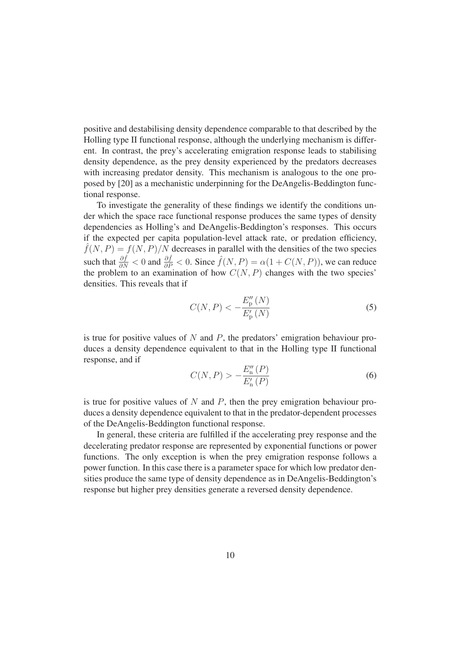positive and destabilising density dependence comparable to that described by the Holling type II functional response, although the underlying mechanism is different. In contrast, the prey's accelerating emigration response leads to stabilising density dependence, as the prey density experienced by the predators decreases with increasing predator density. This mechanism is analogous to the one proposed by [20] as a mechanistic underpinning for the DeAngelis-Beddington functional response.

To investigate the generality of these findings we identify the conditions under which the space race functional response produces the same types of density dependencies as Holling's and DeAngelis-Beddington's responses. This occurs if the expected per capita population-level attack rate, or predation efficiency,  $\hat{f}(N, P) = f(N, P)/N$  decreases in parallel with the densities of the two species such that  $\frac{\partial \hat{f}}{\partial N} < 0$  and  $\frac{\partial \hat{f}}{\partial P} < 0$ . Since  $\hat{f}(N, P) = \alpha(1 + C(N, P))$ , we can reduce the problem to an examination of how  $C(N, P)$  changes with the two species' densities. This reveals that if densities. This reveals that if

$$
C(N, P) < -\frac{E_{\rm p}^{\prime\prime}(N)}{E_{\rm p}^{\prime}(N)}\tag{5}
$$

is true for positive values of N and P, the predators' emigration behaviour produces a density dependence equivalent to that in the Holling type II functional response, and if

$$
C(N, P) > -\frac{E''_n(P)}{E'_n(P)}
$$
\n(6)

is true for positive values of  $N$  and  $P$ , then the prey emigration behaviour produces a density dependence equivalent to that in the predator-dependent processes of the DeAngelis-Beddington functional response.

In general, these criteria are fulfilled if the accelerating prey response and the decelerating predator response are represented by exponential functions or power functions. The only exception is when the prey emigration response follows a power function. In this case there is a parameter space for which low predator densities produce the same type of density dependence as in DeAngelis-Beddington's response but higher prey densities generate a reversed density dependence.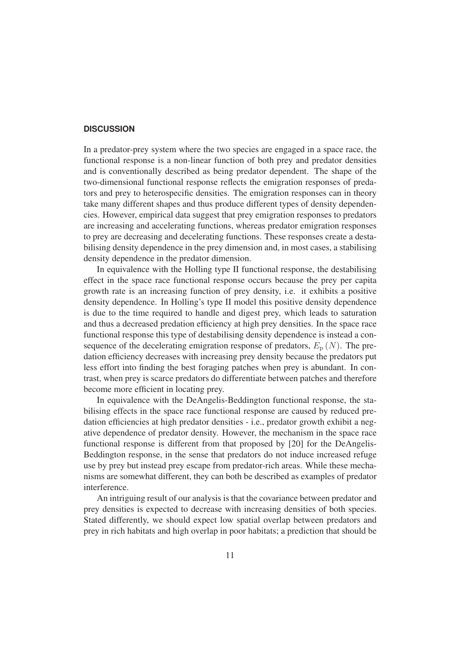#### **DISCUSSION**

In a predator-prey system where the two species are engaged in a space race, the functional response is a non-linear function of both prey and predator densities and is conventionally described as being predator dependent. The shape of the two-dimensional functional response reflects the emigration responses of predators and prey to heterospecific densities. The emigration responses can in theory take many different shapes and thus produce different types of density dependencies. However, empirical data suggest that prey emigration responses to predators are increasing and accelerating functions, whereas predator emigration responses to prey are decreasing and decelerating functions. These responses create a destabilising density dependence in the prey dimension and, in most cases, a stabilising density dependence in the predator dimension.

In equivalence with the Holling type II functional response, the destabilising effect in the space race functional response occurs because the prey per capita growth rate is an increasing function of prey density, i.e. it exhibits a positive density dependence. In Holling's type II model this positive density dependence is due to the time required to handle and digest prey, which leads to saturation and thus a decreased predation efficiency at high prey densities. In the space race functional response this type of destabilising density dependence is instead a consequence of the decelerating emigration response of predators,  $E_p(N)$ . The predation efficiency decreases with increasing prey density because the predators put less effort into finding the best foraging patches when prey is abundant. In contrast, when prey is scarce predators do differentiate between patches and therefore become more efficient in locating prey.

In equivalence with the DeAngelis-Beddington functional response, the stabilising effects in the space race functional response are caused by reduced predation efficiencies at high predator densities - i.e., predator growth exhibit a negative dependence of predator density. However, the mechanism in the space race functional response is different from that proposed by [20] for the DeAngelis-Beddington response, in the sense that predators do not induce increased refuge use by prey but instead prey escape from predator-rich areas. While these mechanisms are somewhat different, they can both be described as examples of predator interference.

An intriguing result of our analysis is that the covariance between predator and prey densities is expected to decrease with increasing densities of both species. Stated differently, we should expect low spatial overlap between predators and prey in rich habitats and high overlap in poor habitats; a prediction that should be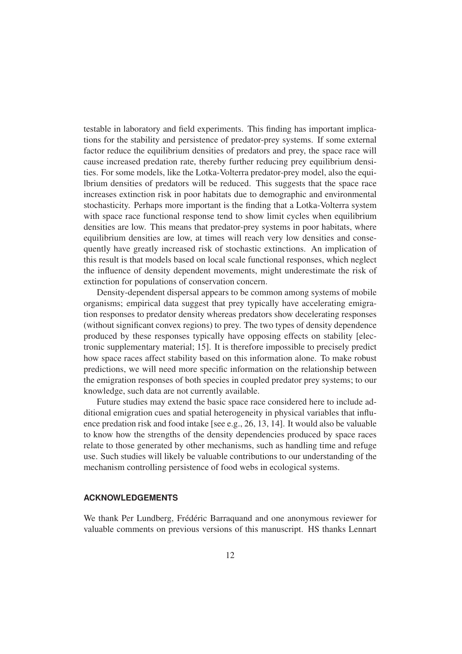testable in laboratory and field experiments. This finding has important implications for the stability and persistence of predator-prey systems. If some external factor reduce the equilibrium densities of predators and prey, the space race will cause increased predation rate, thereby further reducing prey equilibrium densities. For some models, like the Lotka-Volterra predator-prey model, also the equilbrium densities of predators will be reduced. This suggests that the space race increases extinction risk in poor habitats due to demographic and environmental stochasticity. Perhaps more important is the finding that a Lotka-Volterra system with space race functional response tend to show limit cycles when equilibrium densities are low. This means that predator-prey systems in poor habitats, where equilibrium densities are low, at times will reach very low densities and consequently have greatly increased risk of stochastic extinctions. An implication of this result is that models based on local scale functional responses, which neglect the influence of density dependent movements, might underestimate the risk of extinction for populations of conservation concern.

Density-dependent dispersal appears to be common among systems of mobile organisms; empirical data suggest that prey typically have accelerating emigration responses to predator density whereas predators show decelerating responses (without significant convex regions) to prey. The two types of density dependence produced by these responses typically have opposing effects on stability [electronic supplementary material; 15]. It is therefore impossible to precisely predict how space races affect stability based on this information alone. To make robust predictions, we will need more specific information on the relationship between the emigration responses of both species in coupled predator prey systems; to our knowledge, such data are not currently available.

Future studies may extend the basic space race considered here to include additional emigration cues and spatial heterogeneity in physical variables that influence predation risk and food intake [see e.g., 26, 13, 14]. It would also be valuable to know how the strengths of the density dependencies produced by space races relate to those generated by other mechanisms, such as handling time and refuge use. Such studies will likely be valuable contributions to our understanding of the mechanism controlling persistence of food webs in ecological systems.

#### **ACKNOWLEDGEMENTS**

We thank Per Lundberg, Frédéric Barraquand and one anonymous reviewer for valuable comments on previous versions of this manuscript. HS thanks Lennart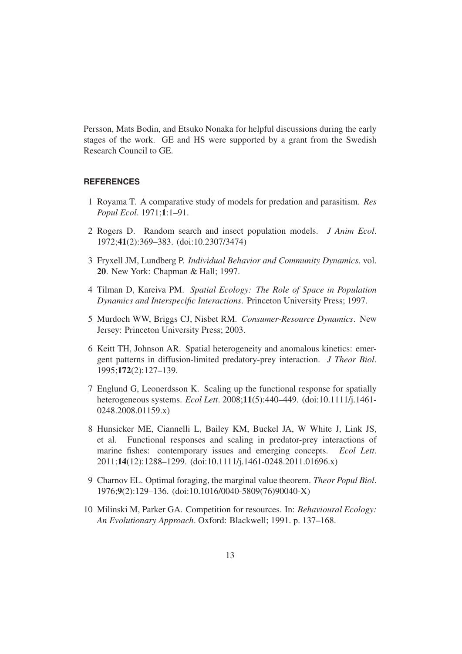Persson, Mats Bodin, and Etsuko Nonaka for helpful discussions during the early stages of the work. GE and HS were supported by a grant from the Swedish Research Council to GE.

#### **REFERENCES**

- 1 Royama T. A comparative study of models for predation and parasitism. *Res Popul Ecol*. 1971;1:1–91.
- 2 Rogers D. Random search and insect population models. *J Anim Ecol*. 1972;41(2):369–383. (doi:10.2307/3474)
- 3 Fryxell JM, Lundberg P. *Individual Behavior and Community Dynamics*. vol. 20. New York: Chapman & Hall; 1997.
- 4 Tilman D, Kareiva PM. *Spatial Ecology: The Role of Space in Population Dynamics and Interspecific Interactions*. Princeton University Press; 1997.
- 5 Murdoch WW, Briggs CJ, Nisbet RM. *Consumer-Resource Dynamics*. New Jersey: Princeton University Press; 2003.
- 6 Keitt TH, Johnson AR. Spatial heterogeneity and anomalous kinetics: emergent patterns in diffusion-limited predatory-prey interaction. *J Theor Biol*. 1995;172(2):127–139.
- 7 Englund G, Leonerdsson K. Scaling up the functional response for spatially heterogeneous systems. *Ecol Lett*. 2008;11(5):440–449. (doi:10.1111/j.1461- 0248.2008.01159.x)
- 8 Hunsicker ME, Ciannelli L, Bailey KM, Buckel JA, W White J, Link JS, et al. Functional responses and scaling in predator-prey interactions of marine fishes: contemporary issues and emerging concepts. *Ecol Lett*. 2011;14(12):1288–1299. (doi:10.1111/j.1461-0248.2011.01696.x)
- 9 Charnov EL. Optimal foraging, the marginal value theorem. *Theor Popul Biol*. 1976;9(2):129–136. (doi:10.1016/0040-5809(76)90040-X)
- 10 Milinski M, Parker GA. Competition for resources. In: *Behavioural Ecology: An Evolutionary Approach*. Oxford: Blackwell; 1991. p. 137–168.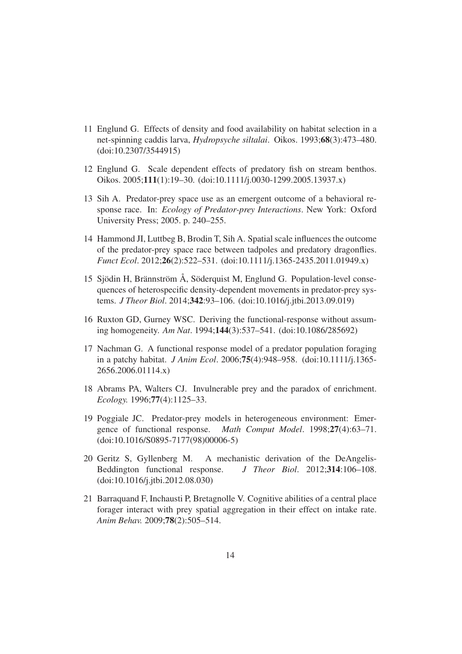- 11 Englund G. Effects of density and food availability on habitat selection in a net-spinning caddis larva, *Hydropsyche siltalai*. Oikos. 1993;68(3):473–480. (doi:10.2307/3544915)
- 12 Englund G. Scale dependent effects of predatory fish on stream benthos. Oikos. 2005;111(1):19–30. (doi:10.1111/j.0030-1299.2005.13937.x)
- 13 Sih A. Predator-prey space use as an emergent outcome of a behavioral response race. In: *Ecology of Predator-prey Interactions*. New York: Oxford University Press; 2005. p. 240–255.
- 14 Hammond JI, Luttbeg B, Brodin T, Sih A. Spatial scale influences the outcome of the predator-prey space race between tadpoles and predatory dragonflies. *Funct Ecol*. 2012;26(2):522–531. (doi:10.1111/j.1365-2435.2011.01949.x)
- 15 Sjödin H, Brännström Å, Söderquist M, Englund G. Population-level consequences of heterospecific density-dependent movements in predator-prey systems. *J Theor Biol*. 2014;342:93–106. (doi:10.1016/j.jtbi.2013.09.019)
- 16 Ruxton GD, Gurney WSC. Deriving the functional-response without assuming homogeneity. *Am Nat*. 1994;144(3):537–541. (doi:10.1086/285692)
- 17 Nachman G. A functional response model of a predator population foraging in a patchy habitat. *J Anim Ecol*. 2006;75(4):948–958. (doi:10.1111/j.1365- 2656.2006.01114.x)
- 18 Abrams PA, Walters CJ. Invulnerable prey and the paradox of enrichment. *Ecology.* 1996;77(4):1125–33.
- 19 Poggiale JC. Predator-prey models in heterogeneous environment: Emergence of functional response. *Math Comput Model*. 1998;27(4):63–71. (doi:10.1016/S0895-7177(98)00006-5)
- 20 Geritz S, Gyllenberg M. A mechanistic derivation of the DeAngelis-Beddington functional response. *J Theor Biol*. 2012;314:106–108. (doi:10.1016/j.jtbi.2012.08.030)
- 21 Barraquand F, Inchausti P, Bretagnolle V. Cognitive abilities of a central place forager interact with prey spatial aggregation in their effect on intake rate. *Anim Behav.* 2009;78(2):505–514.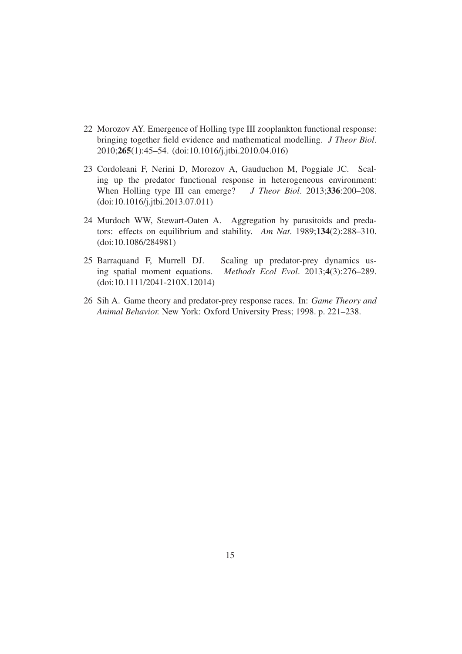- 22 Morozov AY. Emergence of Holling type III zooplankton functional response: bringing together field evidence and mathematical modelling. *J Theor Biol*. 2010;265(1):45–54. (doi:10.1016/j.jtbi.2010.04.016)
- 23 Cordoleani F, Nerini D, Morozov A, Gauduchon M, Poggiale JC. Scaling up the predator functional response in heterogeneous environment: When Holling type III can emerge? *J Theor Biol.* 2013;336:200–208. (doi:10.1016/j.jtbi.2013.07.011)
- 24 Murdoch WW, Stewart-Oaten A. Aggregation by parasitoids and predators: effects on equilibrium and stability. *Am Nat*. 1989;134(2):288–310. (doi:10.1086/284981)
- 25 Barraquand F, Murrell DJ. Scaling up predator-prey dynamics using spatial moment equations. *Methods Ecol Evol*. 2013;4(3):276–289. (doi:10.1111/2041-210X.12014)
- 26 Sih A. Game theory and predator-prey response races. In: *Game Theory and Animal Behavior.* New York: Oxford University Press; 1998. p. 221–238.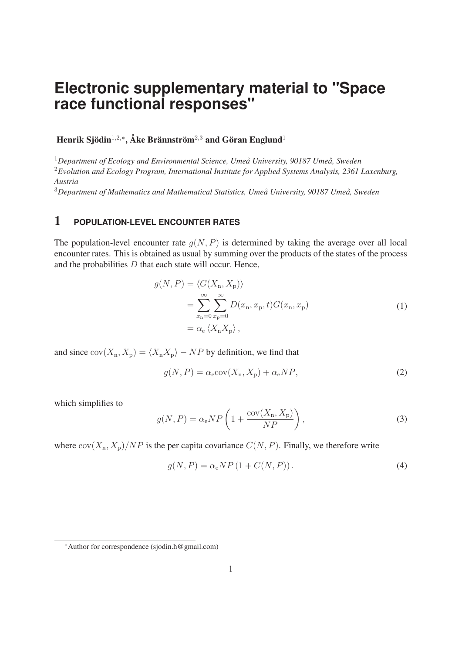# **Electronic supplementary material to "Space race functional responses"**

Henrik Sjödin<sup>1,2,∗</sup>, Åke Brännström<sup>2,3</sup> and Göran Englund<sup>1</sup>

<sup>1</sup>*Department of Ecology and Environmental Science, Umeå University, 90187 Umeå, Sweden* <sup>2</sup>*Evolution and Ecology Program, International Institute for Applied Systems Analysis, 2361 Laxenburg, Austria*

<sup>3</sup>*Department of Mathematics and Mathematical Statistics, Umeå University, 90187 Umeå, Sweden*

## 1 **POPULATION-LEVEL ENCOUNTER RATES**

The population-level encounter rate  $g(N, P)$  is determined by taking the average over all local encounter rates. This is obtained as usual by summing over the products of the states of the process and the probabilities  $D$  that each state will occur. Hence,

$$
g(N, P) = \langle G(X_n, X_p) \rangle
$$
  
= 
$$
\sum_{x_n=0}^{\infty} \sum_{x_p=0}^{\infty} D(x_n, x_p, t) G(x_n, x_p)
$$
  
= 
$$
\alpha_e \langle X_n X_p \rangle,
$$
 (1)

and since  $cov(X_n, X_p) = \langle X_n X_p \rangle - NP$  by definition, we find that

$$
g(N, P) = \alpha_{\rm e} {\rm cov}(X_{\rm n}, X_{\rm p}) + \alpha_{\rm e} NP,
$$
\n(2)

which simplifies to

$$
g(N, P) = \alpha_e NP \left( 1 + \frac{\text{cov}(X_n, X_p)}{NP} \right),\tag{3}
$$

where  $cov(X_n, X_p)/NP$  is the per capita covariance  $C(N, P)$ . Finally, we therefore write

$$
g(N, P) = \alpha_e NP \left( 1 + C(N, P) \right). \tag{4}
$$

<sup>∗</sup>Author for correspondence (sjodin.h@gmail.com)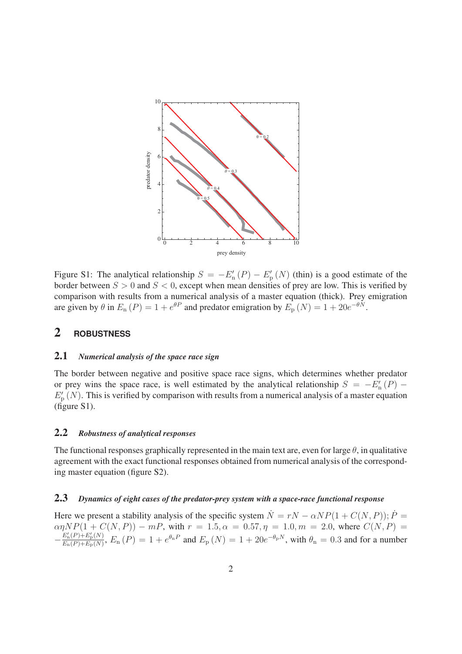

Figure S1: The analytical relationship  $S = -E'_{n}(P) - E'_{p}(N)$  (thin) is a good estimate of the border between  $S > 0$  and  $S < 0$  except when mean densities of prev are low. This is verified by border between  $S > 0$  and  $S < 0$ , except when mean densities of prey are low. This is verified by comparison with results from a numerical analysis of a master equation (thick). Prey emigration are given by  $\theta$  in  $E_n(P) = 1 + e^{\theta P}$  and predator emigration by  $E_p(N) = 1 + 20e^{-\theta N}$ .

### 2 **ROBUSTNESS**

#### 2.1 *Numerical analysis of the space race sign*

The border between negative and positive space race signs, which determines whether predator or prey wins the space race, is well estimated by the analytical relationship  $S = -E'_{n}(P) - E'(N)$ . This is verified by comparison with results from a numerical analysis of a master equation  $E'_{\rm p}(N)$ . This is verified by comparison with results from a numerical analysis of a master equation (figure S1) (figure S1).

#### 2.2 *Robustness of analytical responses*

The functional responses graphically represented in the main text are, even for large  $\theta$ , in qualitative agreement with the exact functional responses obtained from numerical analysis of the corresponding master equation (figure S2).

### 2.3 *Dynamics of eight cases of the predator-prey system with a space-race functional response*

Here we present a stability analysis of the specific system  $\dot{N} = rN - \alpha NP(1 + C(N, P)); \dot{P} = \alpha \eta NP(1 + C(N, P)) - mP$ , with  $r = 1.5, \alpha = 0.57, \eta = 1.0, m = 2.0$ , where  $C(N, P) =$  $\alpha\eta NP(1+C(N,P)) - mP$ , with  $r = 1.5, \alpha = 0.57, \eta = 1.0, m = 2.0$ , where  $C(N,P) = E'_n(P)+E'_n(N) - E_n(P)$  $-\frac{E'_n(P)+E'_p(N)}{E_n(P)+E_p(N)}$ ,  $E_n(P) = 1+ e^{\theta_n P}$  and  $E_p(N) = 1+ 20e^{-\theta_p N}$ , with  $\theta_n = 0.3$  and for a number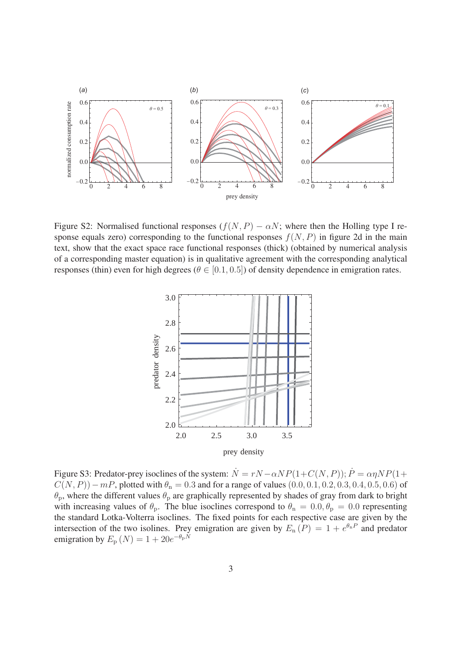

Figure S2: Normalised functional responses  $(f(N, P) - \alpha N)$ ; where then the Holling type I response equals zero) corresponding to the functional responses  $f(N, P)$  in figure 2d in the main text, show that the exact space race functional responses (thick) (obtained by numerical analysis of a corresponding master equation) is in qualitative agreement with the corresponding analytical responses (thin) even for high degrees ( $\theta \in [0.1, 0.5]$ ) of density dependence in emigration rates.



Figure S3: Predator-prey isoclines of the system:  $\dot{N} = rN - \alpha NP(1 + C(N, P))$ ;  $\dot{P} = \alpha \eta NP(1 +$  $C(N, P)$ ) − mP, plotted with  $\theta_n = 0.3$  and for a range of values (0.0, 0.1, 0.2, 0.3, 0.4, 0.5, 0.6) of  $\theta_p$ , where the different values  $\theta_p$  are graphically represented by shades of gray from dark to bright with increasing values of  $\theta_p$ . The blue isoclines correspond to  $\theta_n = 0.0$ ,  $\theta_p = 0.0$  representing the standard Lotka-Volterra isoclines. The fixed points for each respective case are given by the intersection of the two isolines. Prey emigration are given by  $E_n(P) = 1 + e^{\theta_n P}$  and predator emigration by  $E_p (N) = 1 + 20e^{-\theta_p N}$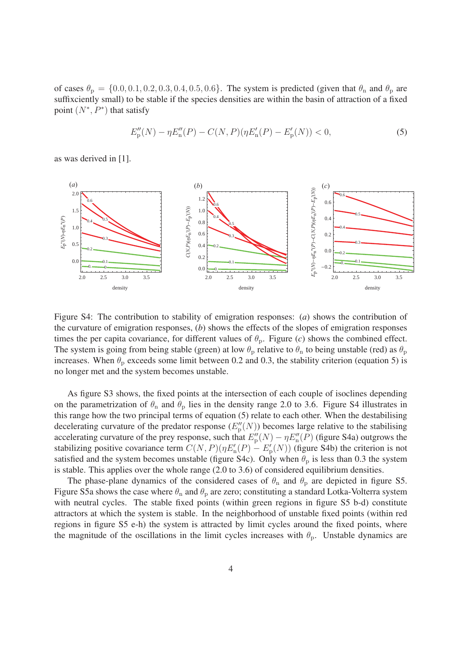of cases  $\theta_p = \{0.0, 0.1, 0.2, 0.3, 0.4, 0.5, 0.6\}$ . The system is predicted (given that  $\theta_n$  and  $\theta_p$  are suffixciently small) to be stable if the species densities are within the basin of attraction of a fixed point  $(N^*, P^*)$  that satisfy

$$
E''_{\mathbf{p}}(N) - \eta E''_{\mathbf{n}}(P) - C(N, P)(\eta E'_{\mathbf{n}}(P) - E'_{\mathbf{p}}(N)) < 0,\tag{5}
$$

as was derived in [1].



Figure S4: The contribution to stability of emigration responses: (*a*) shows the contribution of the curvature of emigration responses, (*b*) shows the effects of the slopes of emigration responses times the per capita covariance, for different values of  $\theta_p$ . Figure (*c*) shows the combined effect. The system is going from being stable (green) at low  $\theta_p$  relative to  $\theta_n$  to being unstable (red) as  $\theta_p$ increases. When  $\theta_p$  exceeds some limit between 0.2 and 0.3, the stability criterion (equation 5) is no longer met and the system becomes unstable.

As figure S3 shows, the fixed points at the intersection of each couple of isoclines depending on the parametrization of  $\theta_n$  and  $\theta_p$  lies in the density range 2.0 to 3.6. Figure S4 illustrates in this range how the two principal terms of equation (5) relate to each other. When the destabilising decelerating curvature of the predator response  $(E_p''(N))$  becomes large relative to the stabilising<br>accelerating curvature of the prev response, such that  $F''(N) = nF''(P)$  (figure S4a) outgrows the accelerating curvature of the prey response, such that  $E_p''(N) - \eta E_n''(P)$  (figure S4a) outgrows the stabilizing positive covariance term  $C(N, P)(pF'(P) - F'(N))$  (figure S4b) the criterion is not stabilizing positive covariance term  $C(N, P)(\eta E_n'(P) - E_p'(N))$  (figure S4b) the criterion is not<br>satisfied and the system becomes unstable (figure S4c). Only when  $\theta$  is less than 0.3 the system satisfied and the system becomes unstable (figure S4c). Only when  $\theta_p$  is less than 0.3 the system is stable. This applies over the whole range (2.0 to 3.6) of considered equilibrium densities.

The phase-plane dynamics of the considered cases of  $\theta_n$  and  $\theta_p$  are depicted in figure S5. Figure S5a shows the case where  $\theta_n$  and  $\theta_p$  are zero; constituting a standard Lotka-Volterra system with neutral cycles. The stable fixed points (within green regions in figure S5 b-d) constitute attractors at which the system is stable. In the neighborhood of unstable fixed points (within red regions in figure S5 e-h) the system is attracted by limit cycles around the fixed points, where the magnitude of the oscillations in the limit cycles increases with  $\theta_p$ . Unstable dynamics are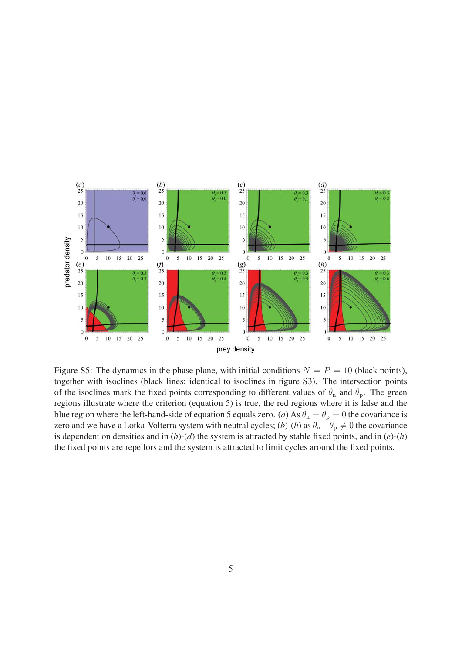

Figure S5: The dynamics in the phase plane, with initial conditions  $N = P = 10$  (black points), together with isoclines (black lines; identical to isoclines in figure S3). The intersection points of the isoclines mark the fixed points corresponding to different values of  $\theta_n$  and  $\theta_p$ . The green regions illustrate where the criterion (equation 5) is true, the red regions where it is false and the blue region where the left-hand-side of equation 5 equals zero. (*a*) As  $\theta_n = \theta_p = 0$  the covariance is zero and we have a Lotka-Volterra system with neutral cycles; (b)-(h) as  $\theta_n + \theta_p \neq 0$  the covariance is dependent on densities and in (*b*)-(*d*) the system is attracted by stable fixed points, and in (*e*)-(*h*) the fixed points are repellors and the system is attracted to limit cycles around the fixed points.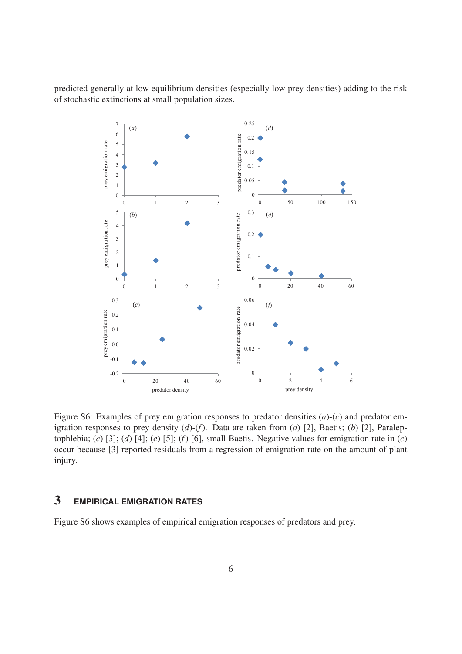predicted generally at low equilibrium densities (especially low prey densities) adding to the risk of stochastic extinctions at small population sizes.



Figure S6: Examples of prey emigration responses to predator densities (*a*)-(*c*) and predator emigration responses to prey density (*d*)-(*f*). Data are taken from (*a*) [2], Baetis; (*b*) [2], Paraleptophlebia; (*c*) [3]; (*d*) [4]; (*e*) [5]; (*f*) [6], small Baetis. Negative values for emigration rate in (*c*) occur because [3] reported residuals from a regression of emigration rate on the amount of plant injury.

## 3 **EMPIRICAL EMIGRATION RATES**

Figure S6 shows examples of empirical emigration responses of predators and prey.